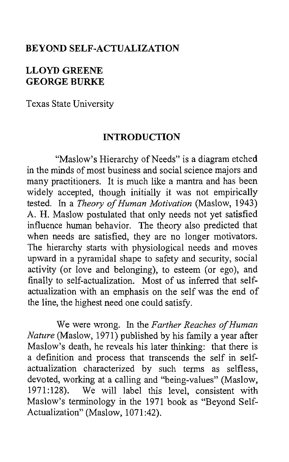#### **BEYOND SELF-ACTUALIZATION**

# **LLOYD GREENE GEORGE BURKE**

Texas State University

#### **INTRODUCTION**

"Maslow's Hierarchy of Needs" is a diagram etched in the minds of most business and social science majors and many practitioners. It is much like a mantra and has been widely accepted, though initially it was not empirically tested. In a *Theory of Human Motivation* (Maslow, 1943) *A.* H. Maslow postulated that only needs not yet satisfied influence human behavior. The theory also predicted that when needs are satisfied, they are no longer motivators. The hierarchy starts with physiological needs and moves upward in a pyramidal shape to safety and security, social activity (or love and belonging), to esteem (or ego), and finally to self-actualization. Most of us inferred that selfactualization with an emphasis on the self was the end of the line, the highest need one could satisfy.

We were wrong. In the *Farther Reaches of Human Nature* (Maslow, 1971) published by his family a year after Maslow's death, he reveals his later thinking: that there is a definition and process that transcends the self in selfactualization characterized by such terms as selfless, devoted, working at a calling and "being-values" (Maslow, 1971:128). We will label this level, consistent with Maslow's terminology in the 1971 book as "Beyond Self-Actualization" (Maslow, 1071:42).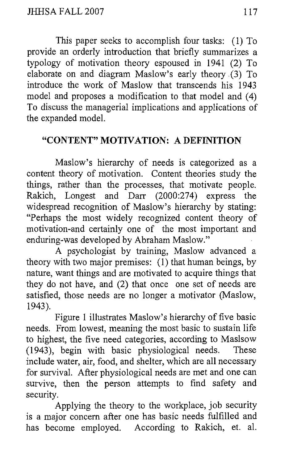This paper seeks to accomplish four tasks: (1) To provide an orderly introduction that briefly summarizes a typology of motivation theory espoused in 1941 (2) To elaborate on and diagram Maslow's early theory *.(3)* To introduce the work of Maslow that transcends his 1943 model and proposes a modification to that model and (4) To discuss the managerial implications and applications of the expanded model.

## **"CONTENT" MOTIVATION: A DEFINITION**

Maslow's hierarchy of needs is categorized as a content theory of motivation. Content theories study the things, rather than the processes, that motivate people. Rakich, Longest and Darr (2000:274) express the widespread recognition of Maslow's hierarchy by stating: "Perhaps the most widely recognized content theory of motivation-and certainly one of the most important and enduring-was developed by Abraham Maslow."

A psychologist by training, Maslow advanced a theory with two major premises: (1) that human beings, by nature, want things and are motivated to acquire things that they do not have, and (2) that once one set of needs are satisfied, those needs are no longer a motivator (Maslow, 1943).

Figure 1 illustrates Maslow's hierarchy of five basic needs. From lowest, meaning the most basic to sustain life to highest, the five need categories, according to Maslsow (1943), begin with basic physiological needs. These include water, air, food, and shelter, which are all necessary for survival. After physiological needs are met and one can survive, then the person attempts to find safety and security.

Applying the theory to the workplace, job security is a major concern after one has basic needs fulfilled and has become employed. According to Rakich, et. al.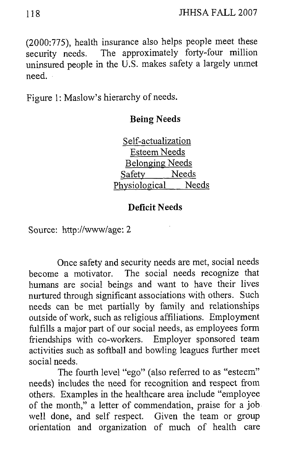(2000:775), health insurance also helps people meet these security needs. The approximately forty-four million uninsured people in the U.S. makes safety a largely unmet need.

Figure 1: Maslow's hierarchy of needs.

#### **Being Needs**

Self-actualization Esteem Needs Belonging Needs Safety Needs Physiological Needs

## **Deficit Needs**

Source: http://www/age: 2

Once safety and security needs are met, social needs become a motivator. The social needs recognize that humans are social beings and want to have their lives nurtured through significant associations with others. Such needs can be met partially by family and relationships outside of work, such as religious affiliations. Employment fulfills a major part of our social needs, as employees form friendships with co-workers. Employer sponsored team activities such as softball and bowling leagues further meet social needs.

The fourth level "ego" (also referred to as "esteem" needs) includes the need for recognition and respect from others. Examples in the healthcare area include "employee of the month," a letter of commendation, praise for a job well done, and self respect. Given the team or group orientation and organization of much of health care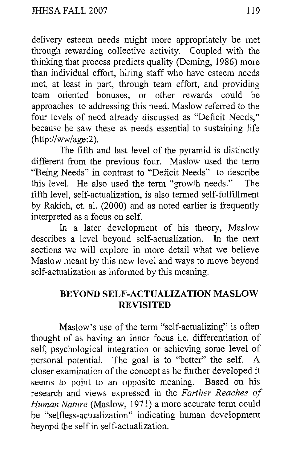delivery esteem needs might more appropriately be met through rewarding collective activity. Coupled with the thinking that process predicts quality (Deming, 1986) more than individual effort, hiring staff who have esteem needs met, at least in part, through team effort, and providing team oriented bonuses, or other rewards could approaches to addressing this need. Maslow referred to the four levels of need already discussed as "Deficit Needs," because he saw these as needs essential to sustaining life (http://ww/age:2).

The fifth and last level of the pyramid is distinctly different from the previous four. Maslow used the term "Being Needs" in contrast to "Deficit Needs" to describe this level. He also used the term "growth needs." The fifth level, self-actualization, is also termed self-fulfillment by Rakich, et. al. (2000) and as noted earlier is frequently interpreted as a focus on self.

In a later development of his theory, Maslow describes a level beyond self-actualization. In the next sections we will explore in more detail what we believe Maslow meant by this new level and ways to move beyond self-actualization as informed by this meaning.

## **BEYOND SELF-ACTUALIZATION MASLOW REVISITED**

Maslow's use of the term "self-actualizing" is often thought of as having an inner focus i.e. differentiation of self, psychological integration or achieving some level of personal notential. The goal is to "better" the self. A personal potential. The goal is to "better" the self. closer examination of the concept as he further developed it seems to point to an opposite meaning. Based on his research and views expressed in the *Farther Reaches* of *Human Nature* (Maslow, 1971) a more accurate term could be "selfless-actualization" indicating human development beyond the self in self-actualization.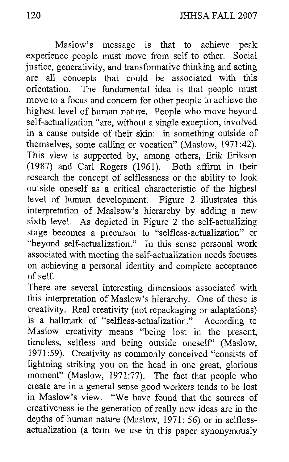Maslow's message is that to achieve peak experience people must move from self to other. Social justice, generativity, and transformative thinking and acting are all concepts that could be associated with this orientation. The fimdamental idea is that people must move to a focus and concern for other people to achieve the highest level of human nature. People who move beyond self-actualization "are, without a single exception, involved in a cause outside of their skin: in something outside of themselves, some calling or vocation" (Maslow, 1971:42). This view is supported by, among others, Erik Erikson (1987) and Carl Rogers (1961). Both affirm in their research the concept of selflessness or the ability to look outside oneself as a critical characteristic of the highest level of human development. Figure 2 illustrates this interpretation of Maslsow's hierarchy by adding a new sixth level. As depicted in Figure 2 the self-actualizing stage becomes a precursor to "selfless-actualization" or "beyond self-actualization." In this sense personal work associated with meeting the self-actualization needs focuses on achieving a personal identity and complete acceptance of self.

There are several interesting dimensions associated with this interpretation of Maslow's hierarchy. One of these is creativity. Real creativity (not repackaging or adaptations) is a hallmark of "selfless-actualization." According to Maslow creativity means "being lost in the present, timeless, selfless and being outside oneself' (Maslow, 1971:59). Creativity as commonly conceived "consists of lightning striking you on the head in one great, glorious moment" (Maslow, 1971:77). The fact that people who create are in a general sense good workers tends to be lost in Maslow's view. "We have found that the sources of creativeness ie the generation of really new ideas are in the depths of human nature (Maslow, 1971: 56) or in selflessactualization (a term we use in this paper synonymously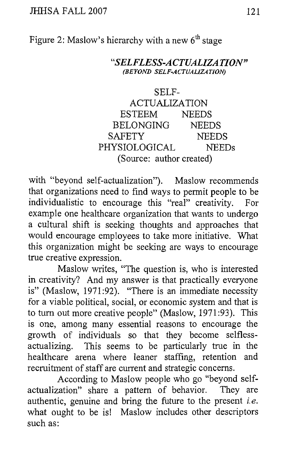Figure 2: Maslow's hierarchy with a new  $6<sup>th</sup>$  stage

*"SEL FLESS-A CTUALIZA TION" (BE YOl\I, SEL F-ACTUALIZ1 TION)* 

| SELF-                    |              |
|--------------------------|--------------|
| <b>ACTUALIZATION</b>     |              |
| <b>ESTEEM</b>            | <b>NEEDS</b> |
| <b>BELONGING</b>         | <b>NEEDS</b> |
| <b>SAFETY</b>            | <b>NEEDS</b> |
| PHYSIOLOGICAL            | <b>NEEDs</b> |
| (Source: author created) |              |

with "beyond self-actualization"). Maslow recommends that organizations need to find ways to permit people to be individualistic to encourage this "real" creativity. For example one healthcare organization that wants to undergo a cultural shift is seeking thoughts and approaches that would encourage employees to take more initiative. What this organization might be seeking are ways to encourage true creative expression.

Maslow writes, "The question is, who is interested in creativity? And my answer is that practically everyone is" (Maslow, 1971:92). "There is an immediate necessity for a viable political, social, or economic system and that is to turn out more creative people" (Maslow, 1971 :93). This is one, among many essential reasons to encourage the growth of individuals so that they become selflessactualizing. This seems to be particularly true in the healthcare arena where leaner staffing, retention and recruitment of staff are current and strategic concerns.

According to Maslow people who go "beyond selfactualization" share a pattern of behavior. They are authentic, genuine and bring the future to the present *i.e.*  what ought to be is! Maslow includes other descriptors such as: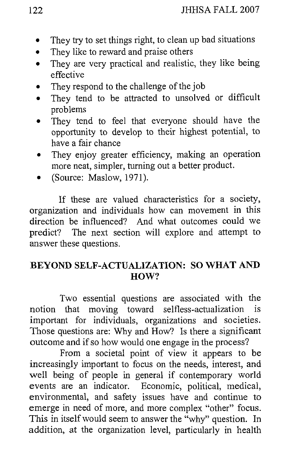- They try to set things right, to clean up bad situations
- They like to reward and praise others
- They are very practical and realistic, they like being  $\bullet$ effective
- They respond to the challenge of the job  $\bullet$
- They tend to be attracted to unsolved or difficult  $\bullet$ problems
- They tend to feel that everyone should have the opportunity to develop to their highest potential, to have a fair chance
- They enjoy greater efficiency, making an operation more neat, simpler, turning out a better product.
- (Source: Maslow, 1971).

If these are valued characteristics for a society, organization and individuals how can movement in this direction be influenced? And what outcomes could we predict? The next section will explore and attempt to answer these questions.

#### **BEYOND SELF-ACTUALIZATION: SO WHAT AND HOW?**

Two essential questions are associated with the notion that moving toward selfless-actualization is important for individuals, organizations and societies. Those questions are: Why and How? Is there a significant outcome and if so how would one engage in the process?

From a societal point of view it appears to be increasingly important to focus on the needs, interest, and well being of people in general if contemporary world events are an indicator. Economic, political, medical, environmental, and safety issues have and continue to emerge in need of more, and more complex "other" focus. This in itself would seem to answer the "why" question. In addition, at the organization level, particularly in health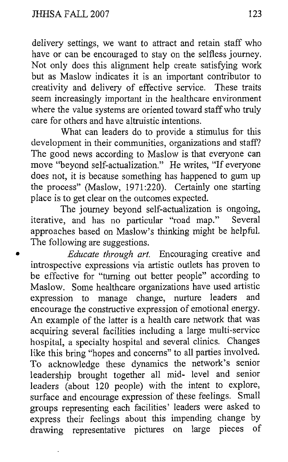delivery settings, we want to attract and retain staff who have or can be encouraged to stay on the selfless journey. Not only does this alignment help create satisfying work but as Maslow indicates it is an important contributor to creativity and delivery of effective service. These traits seem increasingly important in the healthcare environment where the value systems are oriented toward staff who truly care for others and have altruistic intentions.

What can leaders do to provide a stimulus for this development in their communities, organizations and staff? The good news according to Maslow is that everyone can move "beyond self-actualization." He writes, "If everyone does not, it is because something has happened to gum up the process" (Maslow,  $1971:220$ ). Certainly one starting place is to get clear on the outcomes expected.

The journey beyond self-actualization is ongoing,<br>e and has no particular "road man" Several iterative, and has no particular "road map." approaches based on Maslow's thinking might be helpful. The following are suggestions.

*Educate through art.* Encouraging creative and introspective expressions via artistic outlets has proven to be effective for "turning out better people" according to Maslow. Some healthcare organizations have used artistic<br>expression to manage change purture leaders and expression to manage change, nurture leaders encourage the constructive expression of emotional energy. An example of the latter is a health care network that was acquiring several facilities including a large multi-service hospital, a specialty hospital and several clinics. Changes like this bring "hopes and concerns" to all parties involved. To acknowledge these dynamics the network's senior leadership brought together all mid- level and senior leaders (about 120 people) with the intent to explore, surface and encourage expression of these feelings. Small groups representing each facilities' leaders were asked to express their feelings about this impending change by<br>drawing representative pictures on large pieces of drawing representative pictures on large pieces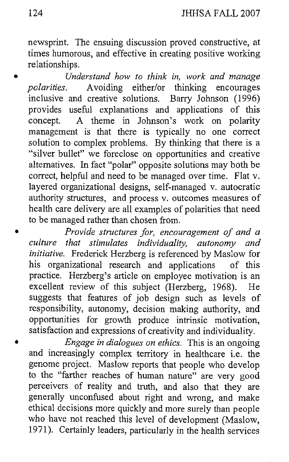newsprint. The ensuing discussion proved constructive, at times humorous, and effective in creating positive working relationships.

**e** *Understand how to think in, work and manage polarities.* Avoiding either/or thinking encourages inclusive and creative solutions. Barry Johnson (1996) provides useful explanations and applications of this concept. A theme in Johnson's work on polarity A theme in Johnson's work on polarity management is that there is typically no one correct solution to complex problems. By thinking that there is a "silver bullet" we foreclose on opportunities and creative alternatives. In fact "polar" opposite solutions may both be correct, helpful and need to be managed over time. Flat v. layered organizational designs, self-managed v. autocratic authority structures, and process v. outcomes measures of health care delivery are all examples of polarities that need to be managed rather than chosen from.

*Provide structures for, encouragement of and a culture that stimulates individuality, autonomy and initiative.* Frederick Herzberg is referenced by Maslow for his organizational research and applications of this practice. Herzberg's article on employee motivation is an excellent review of this subject (Herzberg, 1968). He suggests that features of job design such as levels of responsibility, autonomy, decision making authority, and opportunities for growth produce intrinsic motivation, satisfaction and expressions of creativity and individuality.

*Engage in dialogues on ethics.* This is an ongoing and increasingly complex territory in healthcare i.e. the genome project. Maslow reports that people who develop to the "farther reaches of human nature" are very good perceivers of reality and truth, and also that they are generally unconfused about right and wrong, and make ethical decisions more quickly and more surely than people who have not reached this level of development (Maslow, 1971). Certainly leaders, particularly in the health services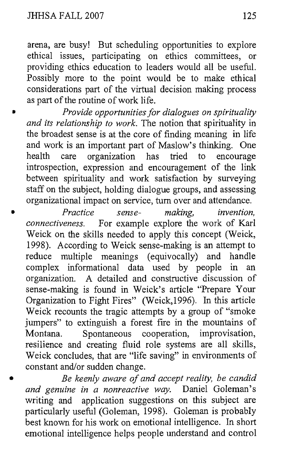arena, are busy! But scheduling opportunities to explore ethical issues, participating on ethics committees, or providing ethics education to leaders would all be useful. Possibly more to the point would be to make ethical considerations part of the virtual decision making process as part of the routine of work life.

*Provide opportunities for dialogues on spirituality and its relationship to work.* The notion that spirituality in the broadest sense is at the core of finding meaning in life and work is an important part of Maslow's thinking. One health care organization has tried to encourage  $health$  care organization has tried to introspection, expression and encouragement of the link between spirituality and work satisfaction by surveying staff on the subject, holding dialogue groups, and assessing organizational impact on service, turn over and attendance.

**<sup>D</sup>***Practice sense- making, invention, connectiveness.* For example explore the work of Karl Weick on the skills needed to apply this concept (Weick, 1998). According to Weick sense-making is an attempt to reduce multiple meanings (equivocally) and handle reduce multiple meanings (equivocally) and complex informational data used by people in an organization. A detailed and constructive discussion of sense-making is found in Weick's article "Prepare Your Organization to Fight Fires" (Weick,1996). In this article Weick recounts the tragic attempts by a group of "smoke jumpers" to extinguish a forest fire in the mountains of Montana. Spontaneous cooperation, improvisation, resilience and creating fluid role systems are all skills, Weick concludes, that are "life saving" in environments of constant and/or sudden change.

**a** *Be keenly aware of and accept reality, be candid and genuine in a nonreactive way.* Daniel Goleman's writing and application suggestions on this subject are particularly useful (Goleman, 1998). Goleman is probably best known for his work on emotional intelligence. In short emotional intelligence helps people understand and control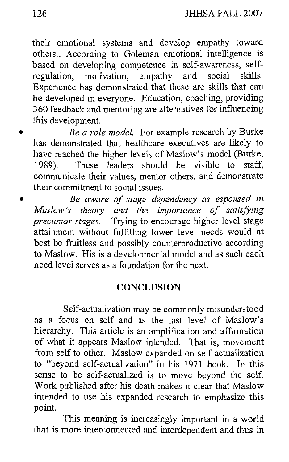their emotional systems and develop empathy toward others.. According to Goleman emotional intelligence is based on developing competence in self-awareness, self-<br>regulation, motivation, empathy and social skills. regulation, motivation, Experience has demonstrated that these are skills that can be developed in everyone. Education, coaching, providing 360 feedback and mentoring are alternatives for influencing this development.

*Be a role model.* For example research by Burke has demonstrated that healthcare executives are likely to have reached the higher levels of Maslow's model (Burke, 1989). These leaders should be visible to staff, communicate their values, mentor others, and demonstrate their commitment to social issues.

*Be aware of stage dependency as espoused in Maslow's theory and the inzportance of satisfiing precursor stages.* Trying to encourage higher level stage attainment without fulfilling lower level needs would at best be fruitless and possibly counterproductive according to Maslow. His is a developmental model and as such each need level serves as a foundation for the next.

#### **CONCLUSION**

Self-actualization may be commonly misunderstood as a focus on self and as the last level of Maslow's hierarchy. This article is an amplification and afirmation of what it appears Maslow intended. That is, movement from self to other. Maslow expanded on self-actualization to "beyond self-actualization" in his 1971 book. In this sense to be self-actualized is to move beyond the self. Work published after his death makes it clear that Maslow intended to use his expanded research to emphasize this point.

This meaning is increasingly important in a world that is more interconnected and interdependent and thus in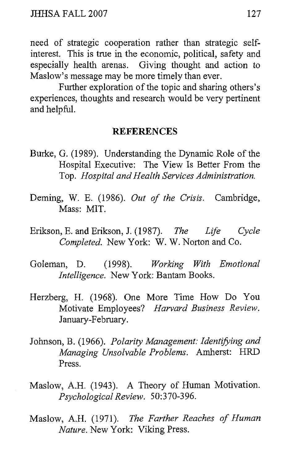need of strategic cooperation rather than strategic selfinterest. This is true in the economic, political, safety and especially health arenas. Giving thought and action to Maslow's message may be more timely than ever.

Further exploration of the topic and sharing others's experiences, thoughts and research would be very pertinent and helpful.

#### **REFERENCES**

- Burke, G. (1989). Understanding the Dynamic Role of the Hospital Executive: The View Is Better From the Top. *Hospital and Health Services Administration.*
- Deming, W. E. (1986). *Out* of *the Crisis.* Cambridge, Mass: MIT.
- Erikson, E. and Erikson, J. (1987). *The Life Cycle Completed.* New York: *W.* W. Norton and Co.
- Goleman, D. (1998). *Working With Emotional Intelligence.* New York: Bantam Books.
- Herzberg, H. (1968). One More Time How Do You Motivate Employees? *Haward Business Review.*  January-February.
- Johnson, B. (1966). *Polarity Management: Identifying and Managing Unsolvable Problems. Amherst: HRD* Press.
- Maslow, A.H. (1943). A Theory of Human Motivation. *Psychological Review.* 50:370-396.
- Maslow, A.H. (1971). *The Farther Reaches of Human Nature.* New York: Viking Press.